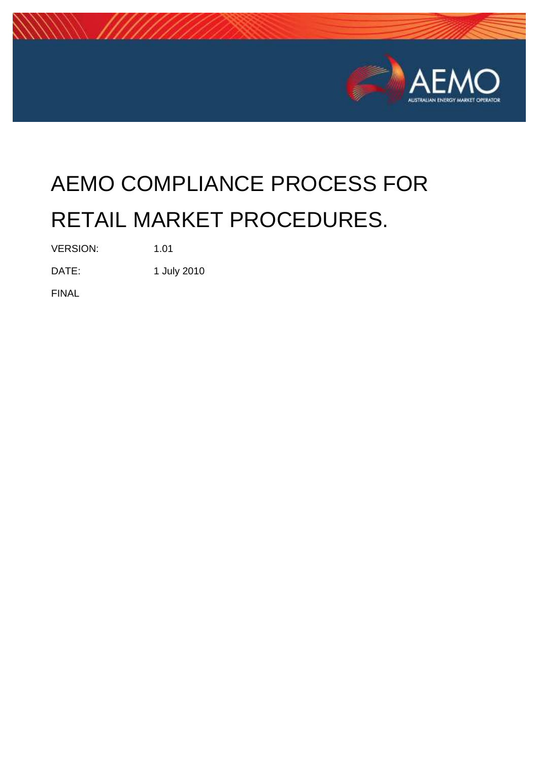

# AEMO COMPLIANCE PROCESS FOR RETAIL MARKET PROCEDURES.

VERSION: 1.01

DATE: 1 July 2010

FINAL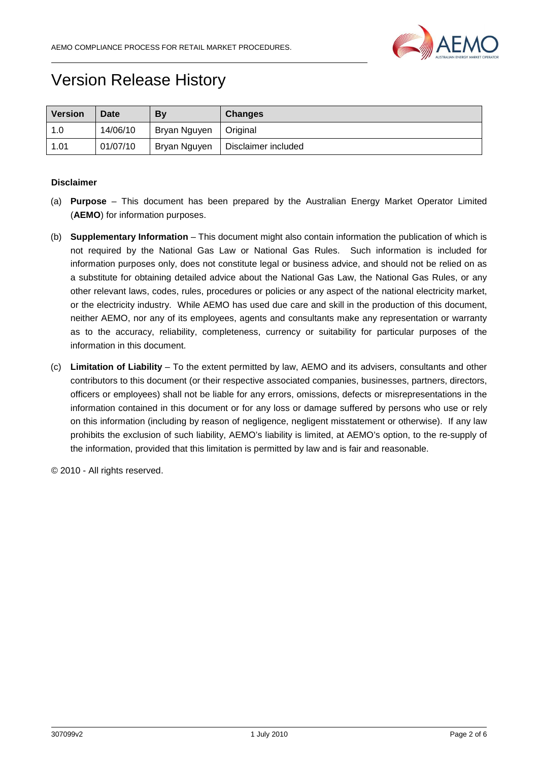

# Version Release History

| <b>Version</b> | <b>Date</b> | By           | <b>Changes</b>      |
|----------------|-------------|--------------|---------------------|
| 1.0            | 14/06/10    | Bryan Nguyen | Original            |
| 1.01           | 01/07/10    | Bryan Nguyen | Disclaimer included |

#### **Disclaimer**

- (a) **Purpose** This document has been prepared by the Australian Energy Market Operator Limited (**AEMO**) for information purposes.
- (b) **Supplementary Information** This document might also contain information the publication of which is not required by the National Gas Law or National Gas Rules. Such information is included for information purposes only, does not constitute legal or business advice, and should not be relied on as a substitute for obtaining detailed advice about the National Gas Law, the National Gas Rules, or any other relevant laws, codes, rules, procedures or policies or any aspect of the national electricity market, or the electricity industry. While AEMO has used due care and skill in the production of this document, neither AEMO, nor any of its employees, agents and consultants make any representation or warranty as to the accuracy, reliability, completeness, currency or suitability for particular purposes of the information in this document.
- (c) **Limitation of Liability** To the extent permitted by law, AEMO and its advisers, consultants and other contributors to this document (or their respective associated companies, businesses, partners, directors, officers or employees) shall not be liable for any errors, omissions, defects or misrepresentations in the information contained in this document or for any loss or damage suffered by persons who use or rely on this information (including by reason of negligence, negligent misstatement or otherwise). If any law prohibits the exclusion of such liability, AEMO's liability is limited, at AEMO's option, to the re-supply of the information, provided that this limitation is permitted by law and is fair and reasonable.

© 2010 - All rights reserved.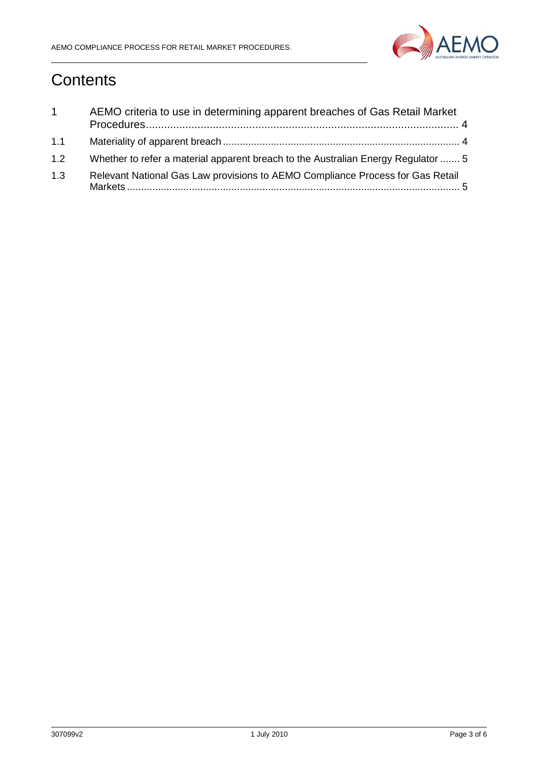

# **Contents**

| $\mathbf{1}$ | AEMO criteria to use in determining apparent breaches of Gas Retail Market        |
|--------------|-----------------------------------------------------------------------------------|
| 1.1          |                                                                                   |
| 1.2          | Whether to refer a material apparent breach to the Australian Energy Regulator  5 |
| 1.3          | Relevant National Gas Law provisions to AEMO Compliance Process for Gas Retail    |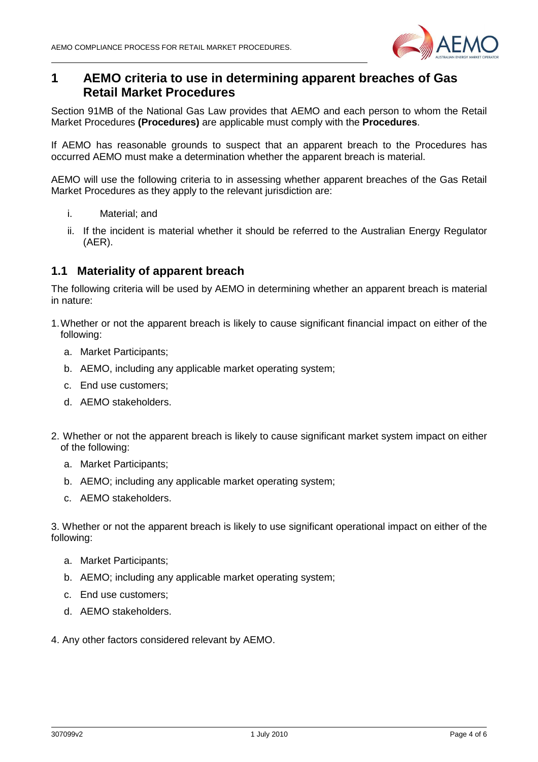

## **1 AEMO criteria to use in determining apparent breaches of Gas Retail Market Procedures**

Section 91MB of the National Gas Law provides that AEMO and each person to whom the Retail Market Procedures **(Procedures)** are applicable must comply with the **Procedures**.

If AEMO has reasonable grounds to suspect that an apparent breach to the Procedures has occurred AEMO must make a determination whether the apparent breach is material.

AEMO will use the following criteria to in assessing whether apparent breaches of the Gas Retail Market Procedures as they apply to the relevant jurisdiction are:

- i. Material; and
- ii. If the incident is material whether it should be referred to the Australian Energy Regulator (AER).

#### **1.1 Materiality of apparent breach**

The following criteria will be used by AEMO in determining whether an apparent breach is material in nature:

- 1. Whether or not the apparent breach is likely to cause significant financial impact on either of the following:
	- a. Market Participants;
	- b. AEMO, including any applicable market operating system;
	- c. End use customers;
	- d. AEMO stakeholders.
- 2. Whether or not the apparent breach is likely to cause significant market system impact on either of the following:
	- a. Market Participants;
	- b. AEMO; including any applicable market operating system;
	- c. AEMO stakeholders.

3. Whether or not the apparent breach is likely to use significant operational impact on either of the following:

- a. Market Participants;
- b. AEMO; including any applicable market operating system;
- c. End use customers;
- d. AEMO stakeholders.
- 4. Any other factors considered relevant by AEMO.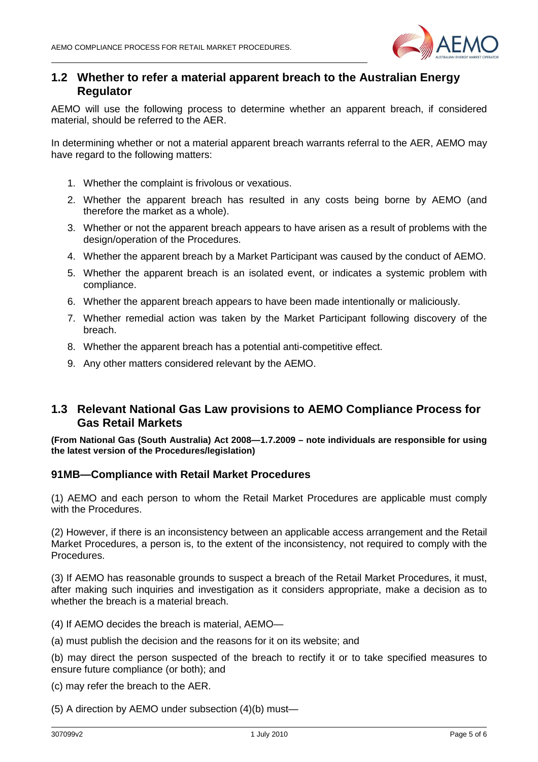

### **1.2 Whether to refer a material apparent breach to the Australian Energy Regulator**

AEMO will use the following process to determine whether an apparent breach, if considered material, should be referred to the AER.

In determining whether or not a material apparent breach warrants referral to the AER, AEMO may have regard to the following matters:

- 1. Whether the complaint is frivolous or vexatious.
- 2. Whether the apparent breach has resulted in any costs being borne by AEMO (and therefore the market as a whole).
- 3. Whether or not the apparent breach appears to have arisen as a result of problems with the design/operation of the Procedures.
- 4. Whether the apparent breach by a Market Participant was caused by the conduct of AEMO.
- 5. Whether the apparent breach is an isolated event, or indicates a systemic problem with compliance.
- 6. Whether the apparent breach appears to have been made intentionally or maliciously.
- 7. Whether remedial action was taken by the Market Participant following discovery of the breach.
- 8. Whether the apparent breach has a potential anti-competitive effect.
- 9. Any other matters considered relevant by the AEMO.

## **1.3 Relevant National Gas Law provisions to AEMO Compliance Process for Gas Retail Markets**

**(From National Gas (South Australia) Act 2008—1.7.2009 – note individuals are responsible for using the latest version of the Procedures/legislation)** 

#### **91MB—Compliance with Retail Market Procedures**

(1) AEMO and each person to whom the Retail Market Procedures are applicable must comply with the Procedures.

(2) However, if there is an inconsistency between an applicable access arrangement and the Retail Market Procedures, a person is, to the extent of the inconsistency, not required to comply with the Procedures.

(3) If AEMO has reasonable grounds to suspect a breach of the Retail Market Procedures, it must, after making such inquiries and investigation as it considers appropriate, make a decision as to whether the breach is a material breach.

- (4) If AEMO decides the breach is material, AEMO—
- (a) must publish the decision and the reasons for it on its website; and

(b) may direct the person suspected of the breach to rectify it or to take specified measures to ensure future compliance (or both); and

(c) may refer the breach to the AER.

(5) A direction by AEMO under subsection (4)(b) must—